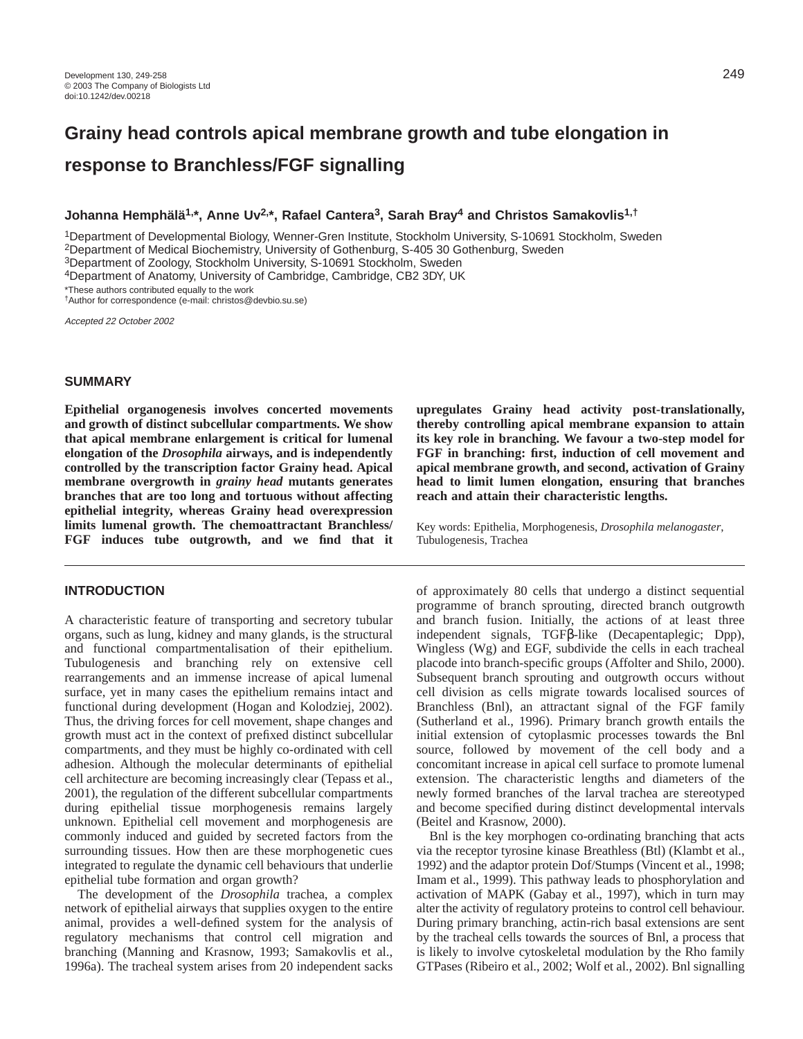# **Grainy head controls apical membrane growth and tube elongation in response to Branchless/FGF signalling**

**Johanna Hemphälä1,\*, Anne Uv2,\*, Rafael Cantera3, Sarah Bray4 and Christos Samakovlis1,†**

1Department of Developmental Biology, Wenner-Gren Institute, Stockholm University, S-10691 Stockholm, Sweden

2Department of Medical Biochemistry, University of Gothenburg, S-405 30 Gothenburg, Sweden

3Department of Zoology, Stockholm University, S-10691 Stockholm, Sweden

4Department of Anatomy, University of Cambridge, Cambridge, CB2 3DY, UK

\*These authors contributed equally to the work

†Author for correspondence (e-mail: christos@devbio.su.se)

Accepted 22 October 2002

# **SUMMARY**

**Epithelial organogenesis involves concerted movements and growth of distinct subcellular compartments. We show that apical membrane enlargement is critical for lumenal elongation of the** *Drosophila* **airways, and is independently controlled by the transcription factor Grainy head. Apical membrane overgrowth in** *grainy head* **mutants generates branches that are too long and tortuous without affecting epithelial integrity, whereas Grainy head overexpression limits lumenal growth. The chemoattractant Branchless/ FGF induces tube outgrowth, and we find that it**

### **INTRODUCTION**

A characteristic feature of transporting and secretory tubular organs, such as lung, kidney and many glands, is the structural and functional compartmentalisation of their epithelium. Tubulogenesis and branching rely on extensive cell rearrangements and an immense increase of apical lumenal surface, yet in many cases the epithelium remains intact and functional during development (Hogan and Kolodziej, 2002). Thus, the driving forces for cell movement, shape changes and growth must act in the context of prefixed distinct subcellular compartments, and they must be highly co-ordinated with cell adhesion. Although the molecular determinants of epithelial cell architecture are becoming increasingly clear (Tepass et al., 2001), the regulation of the different subcellular compartments during epithelial tissue morphogenesis remains largely unknown. Epithelial cell movement and morphogenesis are commonly induced and guided by secreted factors from the surrounding tissues. How then are these morphogenetic cues integrated to regulate the dynamic cell behaviours that underlie epithelial tube formation and organ growth?

The development of the *Drosophila* trachea, a complex network of epithelial airways that supplies oxygen to the entire animal, provides a well-defined system for the analysis of regulatory mechanisms that control cell migration and branching (Manning and Krasnow, 1993; Samakovlis et al., 1996a). The tracheal system arises from 20 independent sacks

**upregulates Grainy head activity post-translationally, thereby controlling apical membrane expansion to attain its key role in branching. We favour a two-step model for FGF in branching: first, induction of cell movement and apical membrane growth, and second, activation of Grainy head to limit lumen elongation, ensuring that branches reach and attain their characteristic lengths.** 

Key words: Epithelia, Morphogenesis, *Drosophila melanogaster*, Tubulogenesis, Trachea

of approximately 80 cells that undergo a distinct sequential programme of branch sprouting, directed branch outgrowth and branch fusion. Initially, the actions of at least three independent signals, TGFβ-like (Decapentaplegic; Dpp), Wingless (Wg) and EGF, subdivide the cells in each tracheal placode into branch-specific groups (Affolter and Shilo, 2000). Subsequent branch sprouting and outgrowth occurs without cell division as cells migrate towards localised sources of Branchless (Bnl), an attractant signal of the FGF family (Sutherland et al., 1996). Primary branch growth entails the initial extension of cytoplasmic processes towards the Bnl source, followed by movement of the cell body and a concomitant increase in apical cell surface to promote lumenal extension. The characteristic lengths and diameters of the newly formed branches of the larval trachea are stereotyped and become specified during distinct developmental intervals (Beitel and Krasnow, 2000).

Bnl is the key morphogen co-ordinating branching that acts via the receptor tyrosine kinase Breathless (Btl) (Klambt et al., 1992) and the adaptor protein Dof/Stumps (Vincent et al., 1998; Imam et al., 1999). This pathway leads to phosphorylation and activation of MAPK (Gabay et al., 1997), which in turn may alter the activity of regulatory proteins to control cell behaviour. During primary branching, actin-rich basal extensions are sent by the tracheal cells towards the sources of Bnl, a process that is likely to involve cytoskeletal modulation by the Rho family GTPases (Ribeiro et al., 2002; Wolf et al., 2002). Bnl signalling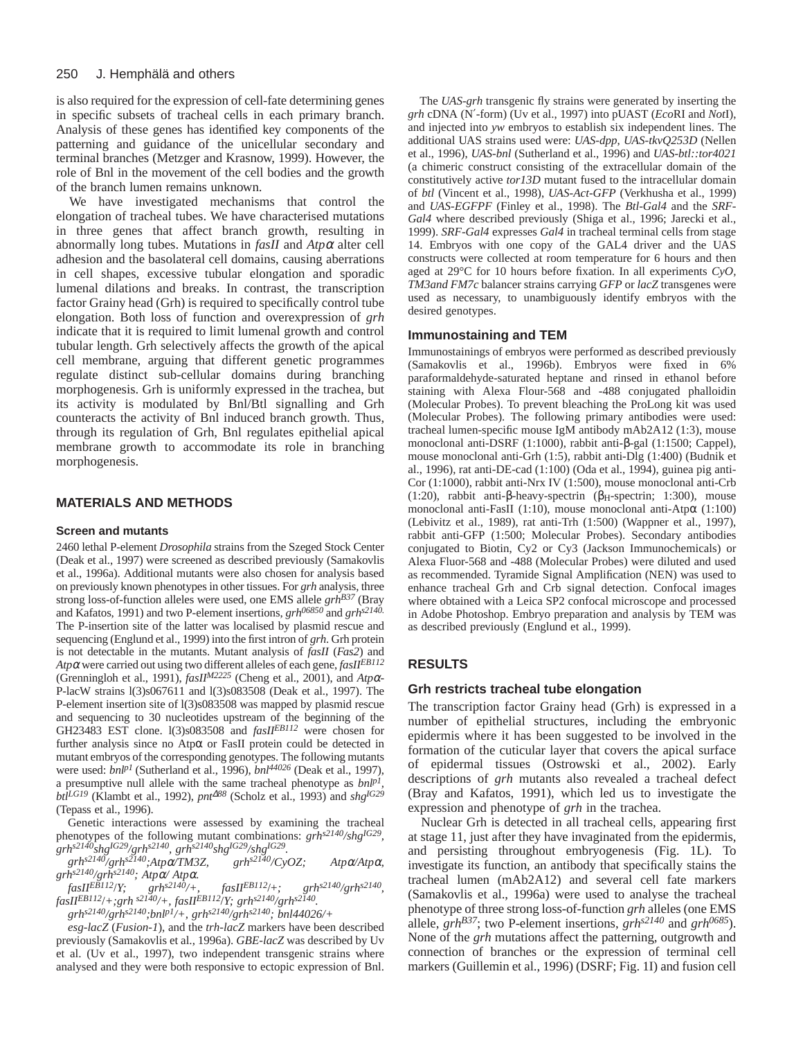is also required for the expression of cell-fate determining genes in specific subsets of tracheal cells in each primary branch. Analysis of these genes has identified key components of the patterning and guidance of the unicellular secondary and terminal branches (Metzger and Krasnow, 1999). However, the role of Bnl in the movement of the cell bodies and the growth of the branch lumen remains unknown.

We have investigated mechanisms that control the elongation of tracheal tubes. We have characterised mutations in three genes that affect branch growth, resulting in abnormally long tubes. Mutations in *fasII* and *Atp*<sup>α</sup> alter cell adhesion and the basolateral cell domains, causing aberrations in cell shapes, excessive tubular elongation and sporadic lumenal dilations and breaks. In contrast, the transcription factor Grainy head (Grh) is required to specifically control tube elongation. Both loss of function and overexpression of *grh* indicate that it is required to limit lumenal growth and control tubular length. Grh selectively affects the growth of the apical cell membrane, arguing that different genetic programmes regulate distinct sub-cellular domains during branching morphogenesis. Grh is uniformly expressed in the trachea, but its activity is modulated by Bnl/Btl signalling and Grh counteracts the activity of Bnl induced branch growth. Thus, through its regulation of Grh, Bnl regulates epithelial apical membrane growth to accommodate its role in branching morphogenesis.

#### **MATERIALS AND METHODS**

#### **Screen and mutants**

2460 lethal P-element *Drosophila* strains from the Szeged Stock Center (Deak et al., 1997) were screened as described previously (Samakovlis et al., 1996a). Additional mutants were also chosen for analysis based on previously known phenotypes in other tissues. For *grh* analysis, three strong loss-of-function alleles were used, one EMS allele *grh<sup>B37</sup>* (Bray and Kafatos, 1991) and two P-element insertions, *grh06850* and *grhs2140.* The P-insertion site of the latter was localised by plasmid rescue and sequencing (Englund et al., 1999) into the first intron of *grh*. Grh protein is not detectable in the mutants. Mutant analysis of *fasII* (*Fas2*) and *Atp*<sup>α</sup> were carried out using two different alleles of each gene, *fasIIEB112* (Grenningloh et al., 1991), *fasIIM2225* (Cheng et al., 2001), and *Atp*α-P-lacW strains l(3)s067611 and l(3)s083508 (Deak et al., 1997). The P-element insertion site of l(3)s083508 was mapped by plasmid rescue and sequencing to 30 nucleotides upstream of the beginning of the GH23483 EST clone. l(3)s083508 and *fasIIEB112* were chosen for further analysis since no Atpα or FasII protein could be detected in mutant embryos of the corresponding genotypes. The following mutants were used: *bnlp1* (Sutherland et al., 1996), *bnl44026* (Deak et al., 1997), a presumptive null allele with the same tracheal phenotype as  $bnl<sup>p<sub>i</sub></sup>$ *btlLG19* (Klambt et al., 1992), *pnt*<sup>∆</sup>*<sup>88</sup>* (Scholz et al., 1993) and *shgIG29* (Tepass et al., 1996).

Genetic interactions were assessed by examining the tracheal phenotypes of the following mutant combinations: *grhs2140/shgIG29, grhs2140shgIG29/grhs2140, grhs2140shgIG29/shgIG29.*

*grhs2140/grhs2140;Atp*α*/TM3Z, grhs2140/CyOZ; Atp*α*/Atp*α*, grhs2140/grhs2140; Atp*α*/ Atp*α*.*

*fasIIEB112*/*Y; grhs2140/+, fasIIEB112*/+*; grhs2140/grhs2140, fasIIEB112*/*+;grh s2140/+, fasIIEB112*/*Y; grhs2140/grhs2140.* 

*grhs2140/grhs2140;bnlp1/+, grhs2140/grhs2140; bnl44026/+* 

*esg-lacZ* (*Fusion-1*), and the *trh-lacZ* markers have been described previously (Samakovlis et al., 1996a). *GBE-lacZ* was described by Uv et al. (Uv et al., 1997), two independent transgenic strains where analysed and they were both responsive to ectopic expression of Bnl.

The *UAS-grh* transgenic fly strains were generated by inserting the *grh* cDNA (N′-form) (Uv et al., 1997) into pUAST (*Eco*RI and *Not*I), and injected into *yw* embryos to establish six independent lines. The additional UAS strains used were: *UAS-dpp*, *UAS-tkvQ253D* (Nellen et al., 1996), *UAS-bnl* (Sutherland et al., 1996) and *UAS-btl::tor4021* (a chimeric construct consisting of the extracellular domain of the constitutively active *tor13D* mutant fused to the intracellular domain of *btl* (Vincent et al., 1998), *UAS*-*Act-GFP* (Verkhusha et al., 1999) and *UAS-EGFPF* (Finley et al., 1998). The *Btl-Gal4* and the *SRF-Gal4* where described previously (Shiga et al., 1996; Jarecki et al., 1999). *SRF-Gal4* expresses *Gal4* in tracheal terminal cells from stage 14. Embryos with one copy of the GAL4 driver and the UAS constructs were collected at room temperature for 6 hours and then aged at 29°C for 10 hours before fixation. In all experiments *CyO, TM3and FM7c* balancer strains carrying *GFP* or *lacZ* transgenes were used as necessary, to unambiguously identify embryos with the desired genotypes.

#### **Immunostaining and TEM**

Immunostainings of embryos were performed as described previously (Samakovlis et al., 1996b). Embryos were fixed in 6% paraformaldehyde-saturated heptane and rinsed in ethanol before staining with Alexa Flour-568 and -488 conjugated phalloidin (Molecular Probes). To prevent bleaching the ProLong kit was used (Molecular Probes). The following primary antibodies were used: tracheal lumen-specific mouse IgM antibody mAb2A12 (1:3), mouse monoclonal anti-DSRF (1:1000), rabbit anti-β-gal (1:1500; Cappel), mouse monoclonal anti-Grh (1:5), rabbit anti-Dlg (1:400) (Budnik et al., 1996), rat anti-DE-cad (1:100) (Oda et al., 1994), guinea pig anti-Cor (1:1000), rabbit anti-Nrx IV (1:500), mouse monoclonal anti-Crb (1:20), rabbit anti-β-heavy-spectrin (βH-spectrin; 1:300), mouse monoclonal anti-FasII (1:10), mouse monoclonal anti-Atpα (1:100) (Lebivitz et al., 1989), rat anti-Trh (1:500) (Wappner et al., 1997), rabbit anti-GFP (1:500; Molecular Probes). Secondary antibodies conjugated to Biotin, Cy2 or Cy3 (Jackson Immunochemicals) or Alexa Fluor-568 and -488 (Molecular Probes) were diluted and used as recommended. Tyramide Signal Amplification (NEN) was used to enhance tracheal Grh and Crb signal detection. Confocal images where obtained with a Leica SP2 confocal microscope and processed in Adobe Photoshop. Embryo preparation and analysis by TEM was as described previously (Englund et al., 1999).

#### **RESULTS**

#### **Grh restricts tracheal tube elongation**

The transcription factor Grainy head (Grh) is expressed in a number of epithelial structures, including the embryonic epidermis where it has been suggested to be involved in the formation of the cuticular layer that covers the apical surface of epidermal tissues (Ostrowski et al., 2002). Early descriptions of *grh* mutants also revealed a tracheal defect (Bray and Kafatos, 1991), which led us to investigate the expression and phenotype of *grh* in the trachea.

Nuclear Grh is detected in all tracheal cells, appearing first at stage 11, just after they have invaginated from the epidermis, and persisting throughout embryogenesis (Fig. 1L). To investigate its function, an antibody that specifically stains the tracheal lumen (mAb2A12) and several cell fate markers (Samakovlis et al., 1996a) were used to analyse the tracheal phenotype of three strong loss-of-function *grh* alleles (one EMS allele, *grhB37*; two P-element insertions, *grhs2140* and *grh0685*). None of the *grh* mutations affect the patterning, outgrowth and connection of branches or the expression of terminal cell markers (Guillemin et al., 1996) (DSRF; Fig. 1I) and fusion cell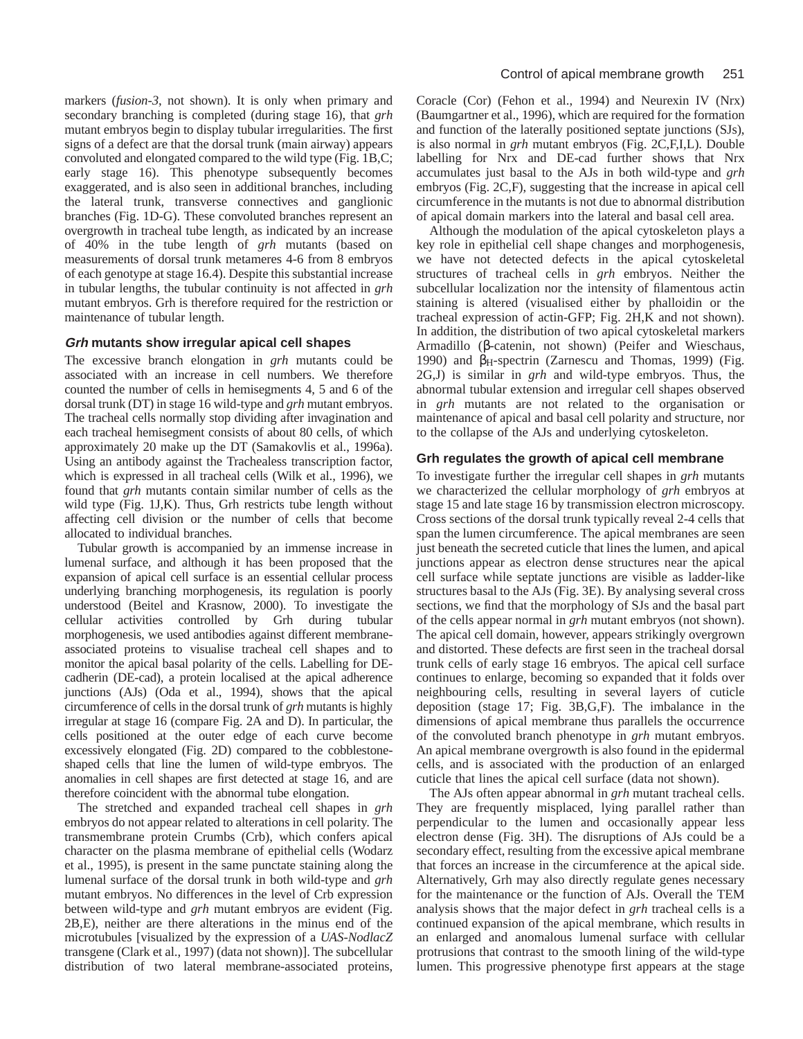markers (*fusion-3*, not shown). It is only when primary and secondary branching is completed (during stage 16), that *grh* mutant embryos begin to display tubular irregularities. The first signs of a defect are that the dorsal trunk (main airway) appears convoluted and elongated compared to the wild type (Fig. 1B,C; early stage 16). This phenotype subsequently becomes exaggerated, and is also seen in additional branches, including the lateral trunk, transverse connectives and ganglionic branches (Fig. 1D-G). These convoluted branches represent an overgrowth in tracheal tube length, as indicated by an increase of 40% in the tube length of *grh* mutants (based on measurements of dorsal trunk metameres 4-6 from 8 embryos of each genotype at stage 16.4). Despite this substantial increase in tubular lengths, the tubular continuity is not affected in *grh* mutant embryos. Grh is therefore required for the restriction or maintenance of tubular length.

#### **Grh mutants show irregular apical cell shapes**

The excessive branch elongation in *grh* mutants could be associated with an increase in cell numbers. We therefore counted the number of cells in hemisegments 4, 5 and 6 of the dorsal trunk (DT) in stage 16 wild-type and *grh* mutant embryos. The tracheal cells normally stop dividing after invagination and each tracheal hemisegment consists of about 80 cells, of which approximately 20 make up the DT (Samakovlis et al., 1996a). Using an antibody against the Trachealess transcription factor, which is expressed in all tracheal cells (Wilk et al., 1996), we found that *grh* mutants contain similar number of cells as the wild type (Fig. 1J,K). Thus, Grh restricts tube length without affecting cell division or the number of cells that become allocated to individual branches.

Tubular growth is accompanied by an immense increase in lumenal surface, and although it has been proposed that the expansion of apical cell surface is an essential cellular process underlying branching morphogenesis, its regulation is poorly understood (Beitel and Krasnow, 2000). To investigate the cellular activities controlled by Grh during tubular morphogenesis, we used antibodies against different membraneassociated proteins to visualise tracheal cell shapes and to monitor the apical basal polarity of the cells. Labelling for DEcadherin (DE-cad), a protein localised at the apical adherence junctions (AJs) (Oda et al., 1994), shows that the apical circumference of cells in the dorsal trunk of *grh* mutants is highly irregular at stage 16 (compare Fig. 2A and D). In particular, the cells positioned at the outer edge of each curve become excessively elongated (Fig. 2D) compared to the cobblestoneshaped cells that line the lumen of wild-type embryos. The anomalies in cell shapes are first detected at stage 16, and are therefore coincident with the abnormal tube elongation.

The stretched and expanded tracheal cell shapes in *grh* embryos do not appear related to alterations in cell polarity. The transmembrane protein Crumbs (Crb), which confers apical character on the plasma membrane of epithelial cells (Wodarz et al., 1995), is present in the same punctate staining along the lumenal surface of the dorsal trunk in both wild-type and *grh* mutant embryos. No differences in the level of Crb expression between wild-type and *grh* mutant embryos are evident (Fig. 2B,E), neither are there alterations in the minus end of the microtubules [visualized by the expression of a *UAS-NodlacZ* transgene (Clark et al., 1997) (data not shown)]. The subcellular distribution of two lateral membrane-associated proteins,

Coracle (Cor) (Fehon et al., 1994) and Neurexin IV (Nrx) (Baumgartner et al., 1996), which are required for the formation and function of the laterally positioned septate junctions (SJs), is also normal in *grh* mutant embryos (Fig. 2C,F,I,L). Double labelling for Nrx and DE-cad further shows that Nrx accumulates just basal to the AJs in both wild-type and *grh* embryos (Fig. 2C,F), suggesting that the increase in apical cell circumference in the mutants is not due to abnormal distribution of apical domain markers into the lateral and basal cell area.

Although the modulation of the apical cytoskeleton plays a key role in epithelial cell shape changes and morphogenesis, we have not detected defects in the apical cytoskeletal structures of tracheal cells in *grh* embryos. Neither the subcellular localization nor the intensity of filamentous actin staining is altered (visualised either by phalloidin or the tracheal expression of actin-GFP; Fig. 2H,K and not shown). In addition, the distribution of two apical cytoskeletal markers Armadillo (β-catenin, not shown) (Peifer and Wieschaus, 1990) and β<sub>H</sub>-spectrin (Zarnescu and Thomas, 1999) (Fig. 2G,J) is similar in *grh* and wild-type embryos. Thus, the abnormal tubular extension and irregular cell shapes observed in *grh* mutants are not related to the organisation or maintenance of apical and basal cell polarity and structure, nor to the collapse of the AJs and underlying cytoskeleton.

#### **Grh regulates the growth of apical cell membrane**

To investigate further the irregular cell shapes in *grh* mutants we characterized the cellular morphology of *grh* embryos at stage 15 and late stage 16 by transmission electron microscopy. Cross sections of the dorsal trunk typically reveal 2-4 cells that span the lumen circumference. The apical membranes are seen just beneath the secreted cuticle that lines the lumen, and apical junctions appear as electron dense structures near the apical cell surface while septate junctions are visible as ladder-like structures basal to the AJs (Fig. 3E). By analysing several cross sections, we find that the morphology of SJs and the basal part of the cells appear normal in *grh* mutant embryos (not shown). The apical cell domain, however, appears strikingly overgrown and distorted. These defects are first seen in the tracheal dorsal trunk cells of early stage 16 embryos. The apical cell surface continues to enlarge, becoming so expanded that it folds over neighbouring cells, resulting in several layers of cuticle deposition (stage 17; Fig. 3B,G,F). The imbalance in the dimensions of apical membrane thus parallels the occurrence of the convoluted branch phenotype in *grh* mutant embryos. An apical membrane overgrowth is also found in the epidermal cells, and is associated with the production of an enlarged cuticle that lines the apical cell surface (data not shown).

The AJs often appear abnormal in *grh* mutant tracheal cells. They are frequently misplaced, lying parallel rather than perpendicular to the lumen and occasionally appear less electron dense (Fig. 3H). The disruptions of AJs could be a secondary effect, resulting from the excessive apical membrane that forces an increase in the circumference at the apical side. Alternatively, Grh may also directly regulate genes necessary for the maintenance or the function of AJs. Overall the TEM analysis shows that the major defect in *grh* tracheal cells is a continued expansion of the apical membrane, which results in an enlarged and anomalous lumenal surface with cellular protrusions that contrast to the smooth lining of the wild-type lumen. This progressive phenotype first appears at the stage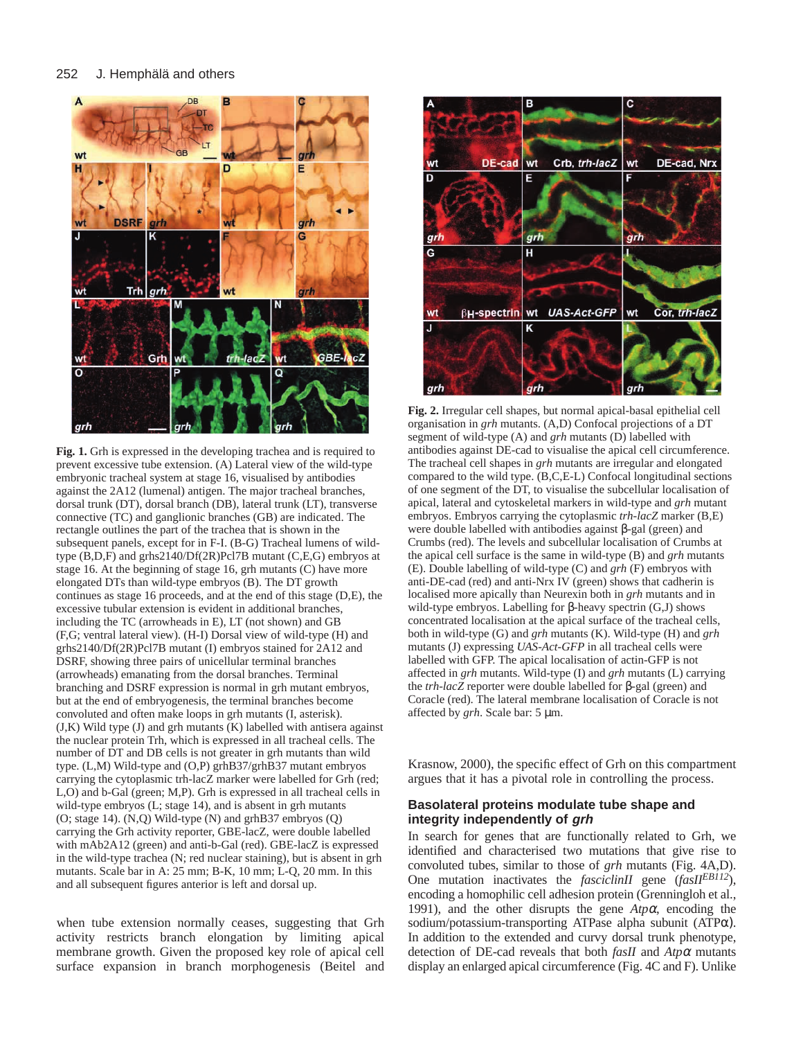

**Fig. 1.** Grh is expressed in the developing trachea and is required to prevent excessive tube extension. (A) Lateral view of the wild-type embryonic tracheal system at stage 16, visualised by antibodies against the 2A12 (lumenal) antigen. The major tracheal branches, dorsal trunk (DT), dorsal branch (DB), lateral trunk (LT), transverse connective (TC) and ganglionic branches (GB) are indicated. The rectangle outlines the part of the trachea that is shown in the subsequent panels, except for in F-I. (B-G) Tracheal lumens of wildtype (B,D,F) and grhs2140/Df(2R)Pcl7B mutant (C,E,G) embryos at stage 16. At the beginning of stage 16, grh mutants (C) have more elongated DTs than wild-type embryos (B). The DT growth continues as stage 16 proceeds, and at the end of this stage (D,E), the excessive tubular extension is evident in additional branches, including the TC (arrowheads in E), LT (not shown) and GB (F,G; ventral lateral view). (H-I) Dorsal view of wild-type (H) and grhs2140/Df(2R)Pcl7B mutant (I) embryos stained for 2A12 and DSRF, showing three pairs of unicellular terminal branches (arrowheads) emanating from the dorsal branches. Terminal branching and DSRF expression is normal in grh mutant embryos, but at the end of embryogenesis, the terminal branches become convoluted and often make loops in grh mutants (I, asterisk).  $(J,K)$  Wild type  $(J)$  and grh mutants  $(K)$  labelled with antisera against the nuclear protein Trh, which is expressed in all tracheal cells. The number of DT and DB cells is not greater in grh mutants than wild type. (L,M) Wild-type and (O,P) grhB37/grhB37 mutant embryos carrying the cytoplasmic trh-lacZ marker were labelled for Grh (red; L,O) and b-Gal (green; M,P). Grh is expressed in all tracheal cells in wild-type embryos (L; stage 14), and is absent in grh mutants (O; stage 14). (N,Q) Wild-type (N) and grhB37 embryos (Q) carrying the Grh activity reporter, GBE-lacZ, were double labelled with mAb2A12 (green) and anti-b-Gal (red). GBE-lacZ is expressed in the wild-type trachea (N; red nuclear staining), but is absent in grh mutants. Scale bar in A: 25 mm; B-K, 10 mm; L-Q, 20 mm. In this and all subsequent figures anterior is left and dorsal up.

when tube extension normally ceases, suggesting that Grh activity restricts branch elongation by limiting apical membrane growth. Given the proposed key role of apical cell surface expansion in branch morphogenesis (Beitel and



**Fig. 2.** Irregular cell shapes, but normal apical-basal epithelial cell organisation in *grh* mutants. (A,D) Confocal projections of a DT segment of wild-type (A) and *grh* mutants (D) labelled with antibodies against DE-cad to visualise the apical cell circumference. The tracheal cell shapes in *grh* mutants are irregular and elongated compared to the wild type. (B,C,E-L) Confocal longitudinal sections of one segment of the DT, to visualise the subcellular localisation of apical, lateral and cytoskeletal markers in wild-type and *grh* mutant embryos. Embryos carrying the cytoplasmic *trh-lacZ* marker (B,E) were double labelled with antibodies against β-gal (green) and Crumbs (red). The levels and subcellular localisation of Crumbs at the apical cell surface is the same in wild-type (B) and *grh* mutants (E). Double labelling of wild-type (C) and *grh* (F) embryos with anti-DE-cad (red) and anti-Nrx IV (green) shows that cadherin is localised more apically than Neurexin both in *grh* mutants and in wild-type embryos. Labelling for β-heavy spectrin  $(G, J)$  shows concentrated localisation at the apical surface of the tracheal cells, both in wild-type (G) and *grh* mutants (K). Wild-type (H) and *grh* mutants (J) expressing *UAS-Act-GFP* in all tracheal cells were labelled with GFP. The apical localisation of actin-GFP is not affected in *grh* mutants. Wild-type (I) and *grh* mutants (L) carrying the *trh-lacZ* reporter were double labelled for β-gal (green) and Coracle (red). The lateral membrane localisation of Coracle is not affected by *grh*. Scale bar: 5 µm.

Krasnow, 2000), the specific effect of Grh on this compartment argues that it has a pivotal role in controlling the process.

### **Basolateral proteins modulate tube shape and integrity independently of grh**

In search for genes that are functionally related to Grh, we identified and characterised two mutations that give rise to convoluted tubes, similar to those of *grh* mutants (Fig. 4A,D). One mutation inactivates the *fasciclinII* gene (*fasIIEB112*), encoding a homophilic cell adhesion protein (Grenningloh et al., 1991), and the other disrupts the gene *Atp*α, encoding the sodium/potassium-transporting ATPase alpha subunit (ATPα). In addition to the extended and curvy dorsal trunk phenotype, detection of DE-cad reveals that both *fasII* and *Atp*<sup>α</sup> mutants display an enlarged apical circumference (Fig. 4C and F). Unlike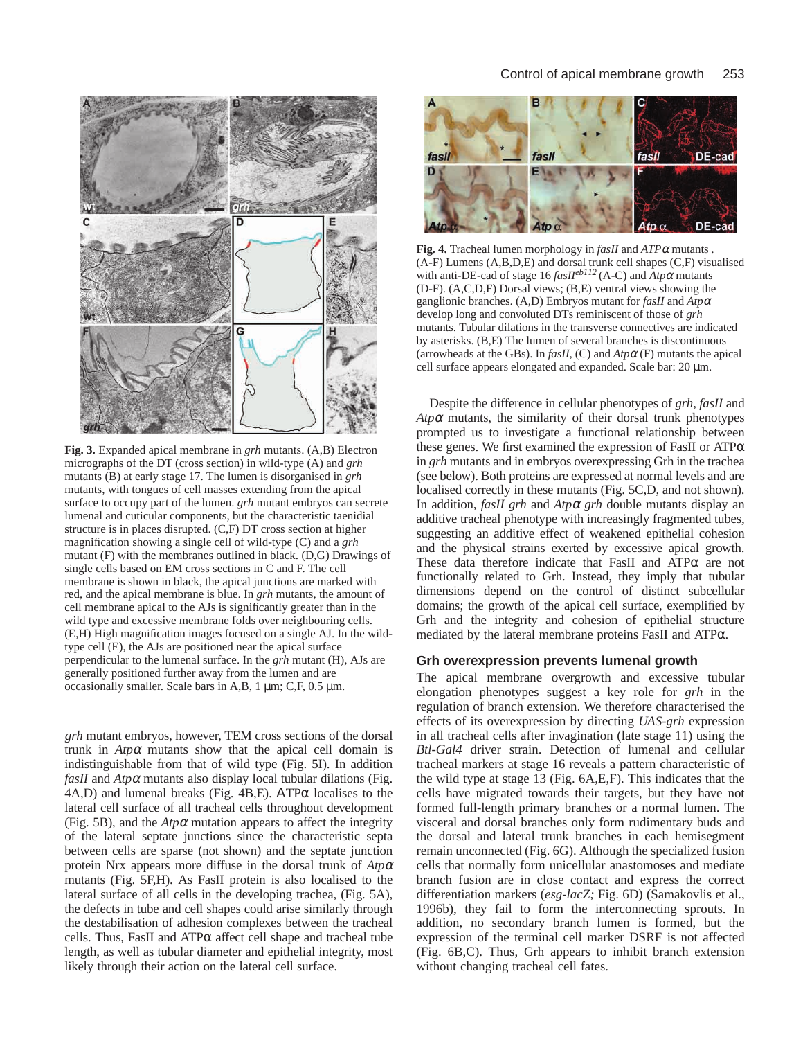

**Fig. 3.** Expanded apical membrane in *grh* mutants. (A,B) Electron micrographs of the DT (cross section) in wild-type (A) and *grh* mutants (B) at early stage 17. The lumen is disorganised in *grh* mutants, with tongues of cell masses extending from the apical surface to occupy part of the lumen. *grh* mutant embryos can secrete lumenal and cuticular components, but the characteristic taenidial structure is in places disrupted. (C,F) DT cross section at higher magnification showing a single cell of wild-type (C) and a *grh* mutant (F) with the membranes outlined in black. (D,G) Drawings of single cells based on EM cross sections in C and F. The cell membrane is shown in black, the apical junctions are marked with red, and the apical membrane is blue. In *grh* mutants, the amount of cell membrane apical to the AJs is significantly greater than in the wild type and excessive membrane folds over neighbouring cells. (E,H) High magnification images focused on a single AJ. In the wildtype cell (E), the AJs are positioned near the apical surface perpendicular to the lumenal surface. In the *grh* mutant (H), AJs are generally positioned further away from the lumen and are occasionally smaller. Scale bars in A,B, 1 µm; C,F, 0.5 µm.

*grh* mutant embryos, however, TEM cross sections of the dorsal trunk in  $Atp\alpha$  mutants show that the apical cell domain is indistinguishable from that of wild type (Fig. 5I). In addition *fasII* and  $Atp\alpha$  mutants also display local tubular dilations (Fig. 4A,D) and lumenal breaks (Fig. 4B,E). ΑTPα localises to the lateral cell surface of all tracheal cells throughout development (Fig. 5B), and the  $Atp\alpha$  mutation appears to affect the integrity of the lateral septate junctions since the characteristic septa between cells are sparse (not shown) and the septate junction protein Nrx appears more diffuse in the dorsal trunk of *Atp*<sup>α</sup> mutants (Fig. 5F,H). As FasII protein is also localised to the lateral surface of all cells in the developing trachea, (Fig. 5A), the defects in tube and cell shapes could arise similarly through the destabilisation of adhesion complexes between the tracheal cells. Thus, FasII and ATPα affect cell shape and tracheal tube length, as well as tubular diameter and epithelial integrity, most likely through their action on the lateral cell surface.

#### Control of apical membrane growth 253



**Fig. 4.** Tracheal lumen morphology in *fasII* and  $ATP\alpha$  mutants *.* (A-F) Lumens (A,B,D,E) and dorsal trunk cell shapes (C,F) visualised with anti-DE-cad of stage 16 *fasIIeb112* (A-C) and *Atp*<sup>α</sup> mutants (D-F). (A,C,D,F) Dorsal views; (B,E) ventral views showing the ganglionic branches. (A,D) Embryos mutant for *fasII* and *Atp*<sup>α</sup> develop long and convoluted DTs reminiscent of those of *grh* mutants. Tubular dilations in the transverse connectives are indicated by asterisks. (B,E) The lumen of several branches is discontinuous (arrowheads at the GBs). In *fasII*, (C) and *Atp*<sup>α</sup> (F) mutants the apical cell surface appears elongated and expanded. Scale bar: 20 µm.

Despite the difference in cellular phenotypes of *grh*, *fasII* and  $Atp\alpha$  mutants, the similarity of their dorsal trunk phenotypes prompted us to investigate a functional relationship between these genes. We first examined the expression of FasII or  $ATP\alpha$ in *grh* mutants and in embryos overexpressing Grh in the trachea (see below). Both proteins are expressed at normal levels and are localised correctly in these mutants (Fig. 5C,D, and not shown). In addition, *fasII grh* and *Atp*<sup>α</sup> *grh* double mutants display an additive tracheal phenotype with increasingly fragmented tubes, suggesting an additive effect of weakened epithelial cohesion and the physical strains exerted by excessive apical growth. These data therefore indicate that FasII and ATPα are not functionally related to Grh. Instead, they imply that tubular dimensions depend on the control of distinct subcellular domains; the growth of the apical cell surface, exemplified by Grh and the integrity and cohesion of epithelial structure mediated by the lateral membrane proteins FasII and ATPα.

#### **Grh overexpression prevents lumenal growth**

The apical membrane overgrowth and excessive tubular elongation phenotypes suggest a key role for *grh* in the regulation of branch extension. We therefore characterised the effects of its overexpression by directing *UAS-grh* expression in all tracheal cells after invagination (late stage 11) using the *Btl-Gal4* driver strain. Detection of lumenal and cellular tracheal markers at stage 16 reveals a pattern characteristic of the wild type at stage 13 (Fig. 6A,E,F). This indicates that the cells have migrated towards their targets, but they have not formed full-length primary branches or a normal lumen. The visceral and dorsal branches only form rudimentary buds and the dorsal and lateral trunk branches in each hemisegment remain unconnected (Fig. 6G). Although the specialized fusion cells that normally form unicellular anastomoses and mediate branch fusion are in close contact and express the correct differentiation markers (*esg-lacZ;* Fig. 6D) (Samakovlis et al., 1996b), they fail to form the interconnecting sprouts. In addition, no secondary branch lumen is formed, but the expression of the terminal cell marker DSRF is not affected (Fig. 6B,C). Thus, Grh appears to inhibit branch extension without changing tracheal cell fates.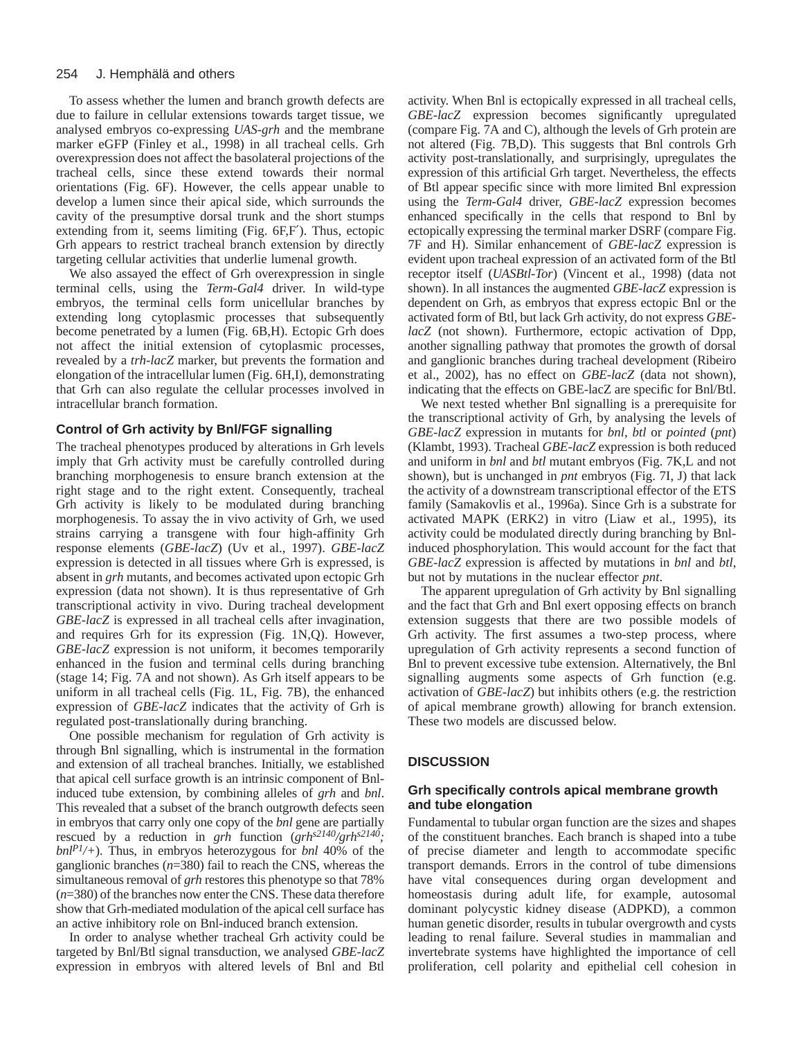#### 254 J. Hemphälä and others

To assess whether the lumen and branch growth defects are due to failure in cellular extensions towards target tissue, we analysed embryos co-expressing *UAS-grh* and the membrane marker eGFP (Finley et al., 1998) in all tracheal cells. Grh overexpression does not affect the basolateral projections of the tracheal cells, since these extend towards their normal orientations (Fig. 6F). However, the cells appear unable to develop a lumen since their apical side, which surrounds the cavity of the presumptive dorsal trunk and the short stumps extending from it, seems limiting (Fig. 6F,F′). Thus, ectopic Grh appears to restrict tracheal branch extension by directly targeting cellular activities that underlie lumenal growth.

We also assayed the effect of Grh overexpression in single terminal cells, using the *Term-Gal4* driver. In wild-type embryos, the terminal cells form unicellular branches by extending long cytoplasmic processes that subsequently become penetrated by a lumen (Fig. 6B,H). Ectopic Grh does not affect the initial extension of cytoplasmic processes, revealed by a *trh-lacZ* marker, but prevents the formation and elongation of the intracellular lumen (Fig. 6H,I), demonstrating that Grh can also regulate the cellular processes involved in intracellular branch formation.

#### **Control of Grh activity by Bnl/FGF signalling**

The tracheal phenotypes produced by alterations in Grh levels imply that Grh activity must be carefully controlled during branching morphogenesis to ensure branch extension at the right stage and to the right extent. Consequently, tracheal Grh activity is likely to be modulated during branching morphogenesis. To assay the in vivo activity of Grh, we used strains carrying a transgene with four high-affinity Grh response elements (*GBE-lacZ*) (Uv et al., 1997). *GBE-lacZ* expression is detected in all tissues where Grh is expressed, is absent in *grh* mutants, and becomes activated upon ectopic Grh expression (data not shown). It is thus representative of Grh transcriptional activity in vivo. During tracheal development *GBE*-*lacZ* is expressed in all tracheal cells after invagination, and requires Grh for its expression (Fig. 1N,Q). However, *GBE*-*lacZ* expression is not uniform, it becomes temporarily enhanced in the fusion and terminal cells during branching (stage 14; Fig. 7A and not shown). As Grh itself appears to be uniform in all tracheal cells (Fig. 1L, Fig. 7B), the enhanced expression of *GBE*-*lacZ* indicates that the activity of Grh is regulated post-translationally during branching.

One possible mechanism for regulation of Grh activity is through Bnl signalling, which is instrumental in the formation and extension of all tracheal branches. Initially, we established that apical cell surface growth is an intrinsic component of Bnlinduced tube extension, by combining alleles of *grh* and *bnl*. This revealed that a subset of the branch outgrowth defects seen in embryos that carry only one copy of the *bnl* gene are partially rescued by a reduction in *grh* function (*grhs2140/grhs2140; bnlP1/+*). Thus, in embryos heterozygous for *bnl* 40% of the ganglionic branches (*n*=380) fail to reach the CNS, whereas the simultaneous removal of *grh* restores this phenotype so that 78% (*n*=380) of the branches now enter the CNS. These data therefore show that Grh-mediated modulation of the apical cell surface has an active inhibitory role on Bnl-induced branch extension.

In order to analyse whether tracheal Grh activity could be targeted by Bnl/Btl signal transduction, we analysed *GBE-lacZ* expression in embryos with altered levels of Bnl and Btl activity. When Bnl is ectopically expressed in all tracheal cells, *GBE-lacZ* expression becomes significantly upregulated (compare Fig. 7A and C), although the levels of Grh protein are not altered (Fig. 7B,D). This suggests that Bnl controls Grh activity post-translationally, and surprisingly, upregulates the expression of this artificial Grh target. Nevertheless, the effects of Btl appear specific since with more limited Bnl expression using the *Term-Gal4* driver, *GBE-lacZ* expression becomes enhanced specifically in the cells that respond to Bnl by ectopically expressing the terminal marker DSRF (compare Fig. 7F and H). Similar enhancement of *GBE-lacZ* expression is evident upon tracheal expression of an activated form of the Btl receptor itself (*UASBtl-Tor*) (Vincent et al., 1998) (data not shown). In all instances the augmented *GBE-lacZ* expression is dependent on Grh, as embryos that express ectopic Bnl or the activated form of Btl, but lack Grh activity, do not express *GBElacZ* (not shown). Furthermore, ectopic activation of Dpp, another signalling pathway that promotes the growth of dorsal and ganglionic branches during tracheal development (Ribeiro et al., 2002), has no effect on *GBE-lacZ* (data not shown), indicating that the effects on GBE-lacZ are specific for Bnl/Btl.

We next tested whether Bnl signalling is a prerequisite for the transcriptional activity of Grh, by analysing the levels of *GBE-lacZ* expression in mutants for *bnl*, *btl* or *pointed* (*pnt*) (Klambt, 1993). Tracheal *GBE-lacZ* expression is both reduced and uniform in *bnl* and *btl* mutant embryos (Fig. 7K,L and not shown), but is unchanged in *pnt* embryos (Fig. 7I, J) that lack the activity of a downstream transcriptional effector of the ETS family (Samakovlis et al., 1996a). Since Grh is a substrate for activated MAPK (ERK2) in vitro (Liaw et al., 1995), its activity could be modulated directly during branching by Bnlinduced phosphorylation. This would account for the fact that *GBE-lacZ* expression is affected by mutations in *bnl* and *btl,* but not by mutations in the nuclear effector *pnt*.

The apparent upregulation of Grh activity by Bnl signalling and the fact that Grh and Bnl exert opposing effects on branch extension suggests that there are two possible models of Grh activity. The first assumes a two-step process, where upregulation of Grh activity represents a second function of Bnl to prevent excessive tube extension. Alternatively, the Bnl signalling augments some aspects of Grh function (e.g. activation of *GBE-lacZ*) but inhibits others (e.g. the restriction of apical membrane growth) allowing for branch extension. These two models are discussed below.

#### **DISCUSSION**

### **Grh specifically controls apical membrane growth and tube elongation**

Fundamental to tubular organ function are the sizes and shapes of the constituent branches. Each branch is shaped into a tube of precise diameter and length to accommodate specific transport demands. Errors in the control of tube dimensions have vital consequences during organ development and homeostasis during adult life, for example, autosomal dominant polycystic kidney disease (ADPKD), a common human genetic disorder, results in tubular overgrowth and cysts leading to renal failure. Several studies in mammalian and invertebrate systems have highlighted the importance of cell proliferation, cell polarity and epithelial cell cohesion in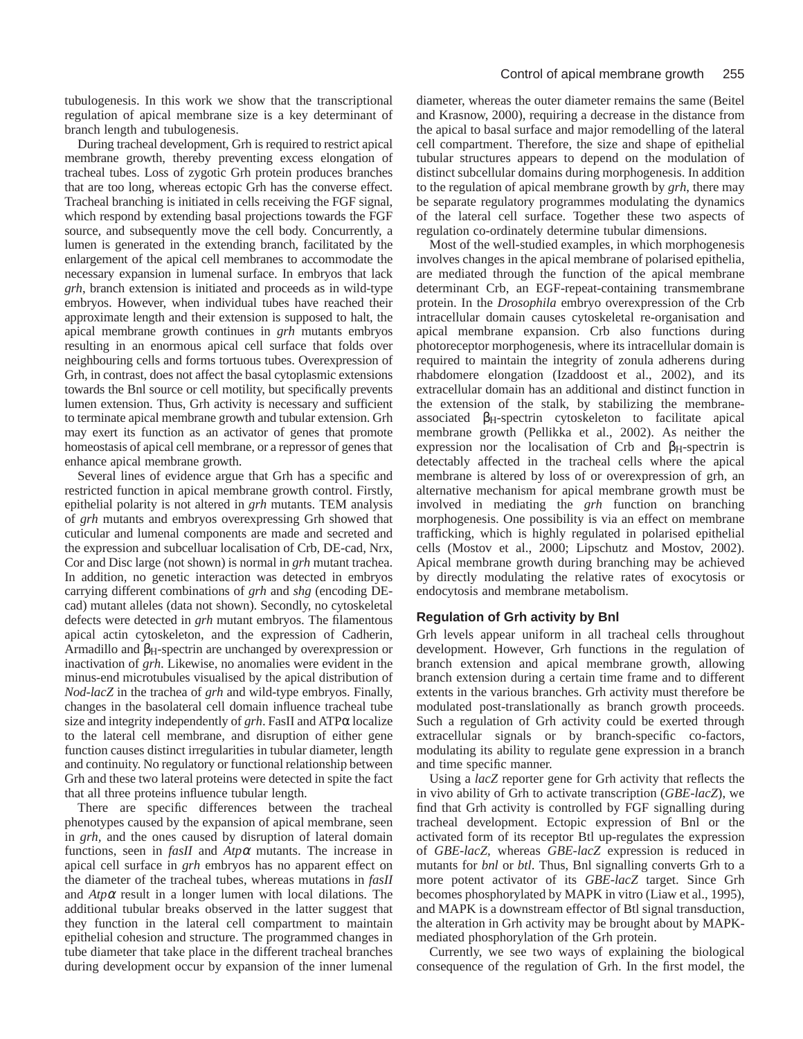tubulogenesis. In this work we show that the transcriptional regulation of apical membrane size is a key determinant of branch length and tubulogenesis.

During tracheal development, Grh is required to restrict apical membrane growth, thereby preventing excess elongation of tracheal tubes. Loss of zygotic Grh protein produces branches that are too long, whereas ectopic Grh has the converse effect. Tracheal branching is initiated in cells receiving the FGF signal, which respond by extending basal projections towards the FGF source, and subsequently move the cell body. Concurrently, a lumen is generated in the extending branch, facilitated by the enlargement of the apical cell membranes to accommodate the necessary expansion in lumenal surface. In embryos that lack *grh*, branch extension is initiated and proceeds as in wild-type embryos. However, when individual tubes have reached their approximate length and their extension is supposed to halt, the apical membrane growth continues in *grh* mutants embryos resulting in an enormous apical cell surface that folds over neighbouring cells and forms tortuous tubes. Overexpression of Grh, in contrast, does not affect the basal cytoplasmic extensions towards the Bnl source or cell motility, but specifically prevents lumen extension. Thus, Grh activity is necessary and sufficient to terminate apical membrane growth and tubular extension. Grh may exert its function as an activator of genes that promote homeostasis of apical cell membrane, or a repressor of genes that enhance apical membrane growth.

Several lines of evidence argue that Grh has a specific and restricted function in apical membrane growth control. Firstly, epithelial polarity is not altered in *grh* mutants. TEM analysis of *grh* mutants and embryos overexpressing Grh showed that cuticular and lumenal components are made and secreted and the expression and subcelluar localisation of Crb, DE-cad, Nrx, Cor and Disc large (not shown) is normal in *grh* mutant trachea. In addition, no genetic interaction was detected in embryos carrying different combinations of *grh* and *shg* (encoding DEcad) mutant alleles (data not shown). Secondly, no cytoskeletal defects were detected in *grh* mutant embryos. The filamentous apical actin cytoskeleton, and the expression of Cadherin, Armadillo and  $\beta$ H-spectrin are unchanged by overexpression or inactivation of *grh*. Likewise, no anomalies were evident in the minus-end microtubules visualised by the apical distribution of *Nod-lacZ* in the trachea of *grh* and wild-type embryos. Finally, changes in the basolateral cell domain influence tracheal tube size and integrity independently of *grh*. FasII and ATPα localize to the lateral cell membrane, and disruption of either gene function causes distinct irregularities in tubular diameter, length and continuity. No regulatory or functional relationship between Grh and these two lateral proteins were detected in spite the fact that all three proteins influence tubular length.

There are specific differences between the tracheal phenotypes caused by the expansion of apical membrane, seen in *grh,* and the ones caused by disruption of lateral domain functions, seen in *fasII* and *Atp*α mutants. The increase in apical cell surface in *grh* embryos has no apparent effect on the diameter of the tracheal tubes, whereas mutations in *fasII* and *Atp*<sup>α</sup> result in a longer lumen with local dilations. The additional tubular breaks observed in the latter suggest that they function in the lateral cell compartment to maintain epithelial cohesion and structure. The programmed changes in tube diameter that take place in the different tracheal branches during development occur by expansion of the inner lumenal

diameter, whereas the outer diameter remains the same (Beitel and Krasnow, 2000), requiring a decrease in the distance from the apical to basal surface and major remodelling of the lateral cell compartment. Therefore, the size and shape of epithelial tubular structures appears to depend on the modulation of distinct subcellular domains during morphogenesis. In addition to the regulation of apical membrane growth by *grh*, there may be separate regulatory programmes modulating the dynamics of the lateral cell surface. Together these two aspects of regulation co-ordinately determine tubular dimensions.

Most of the well-studied examples, in which morphogenesis involves changes in the apical membrane of polarised epithelia, are mediated through the function of the apical membrane determinant Crb, an EGF-repeat-containing transmembrane protein. In the *Drosophila* embryo overexpression of the Crb intracellular domain causes cytoskeletal re-organisation and apical membrane expansion. Crb also functions during photoreceptor morphogenesis, where its intracellular domain is required to maintain the integrity of zonula adherens during rhabdomere elongation (Izaddoost et al., 2002), and its extracellular domain has an additional and distinct function in the extension of the stalk, by stabilizing the membraneassociated βH-spectrin cytoskeleton to facilitate apical membrane growth (Pellikka et al., 2002). As neither the expression nor the localisation of Crb and  $\beta$ <sub>H</sub>-spectrin is detectably affected in the tracheal cells where the apical membrane is altered by loss of or overexpression of grh, an alternative mechanism for apical membrane growth must be involved in mediating the *grh* function on branching morphogenesis. One possibility is via an effect on membrane trafficking, which is highly regulated in polarised epithelial cells (Mostov et al., 2000; Lipschutz and Mostov, 2002). Apical membrane growth during branching may be achieved by directly modulating the relative rates of exocytosis or endocytosis and membrane metabolism.

### **Regulation of Grh activity by Bnl**

Grh levels appear uniform in all tracheal cells throughout development. However, Grh functions in the regulation of branch extension and apical membrane growth, allowing branch extension during a certain time frame and to different extents in the various branches. Grh activity must therefore be modulated post-translationally as branch growth proceeds. Such a regulation of Grh activity could be exerted through extracellular signals or by branch-specific co-factors, modulating its ability to regulate gene expression in a branch and time specific manner.

Using a *lacZ* reporter gene for Grh activity that reflects the in vivo ability of Grh to activate transcription (*GBE-lacZ*), we find that Grh activity is controlled by FGF signalling during tracheal development. Ectopic expression of Bnl or the activated form of its receptor Btl up-regulates the expression of *GBE-lacZ,* whereas *GBE-lacZ* expression is reduced in mutants for *bnl* or *btl*. Thus, Bnl signalling converts Grh to a more potent activator of its *GBE-lacZ* target. Since Grh becomes phosphorylated by MAPK in vitro (Liaw et al., 1995), and MAPK is a downstream effector of Btl signal transduction, the alteration in Grh activity may be brought about by MAPKmediated phosphorylation of the Grh protein.

Currently, we see two ways of explaining the biological consequence of the regulation of Grh. In the first model, the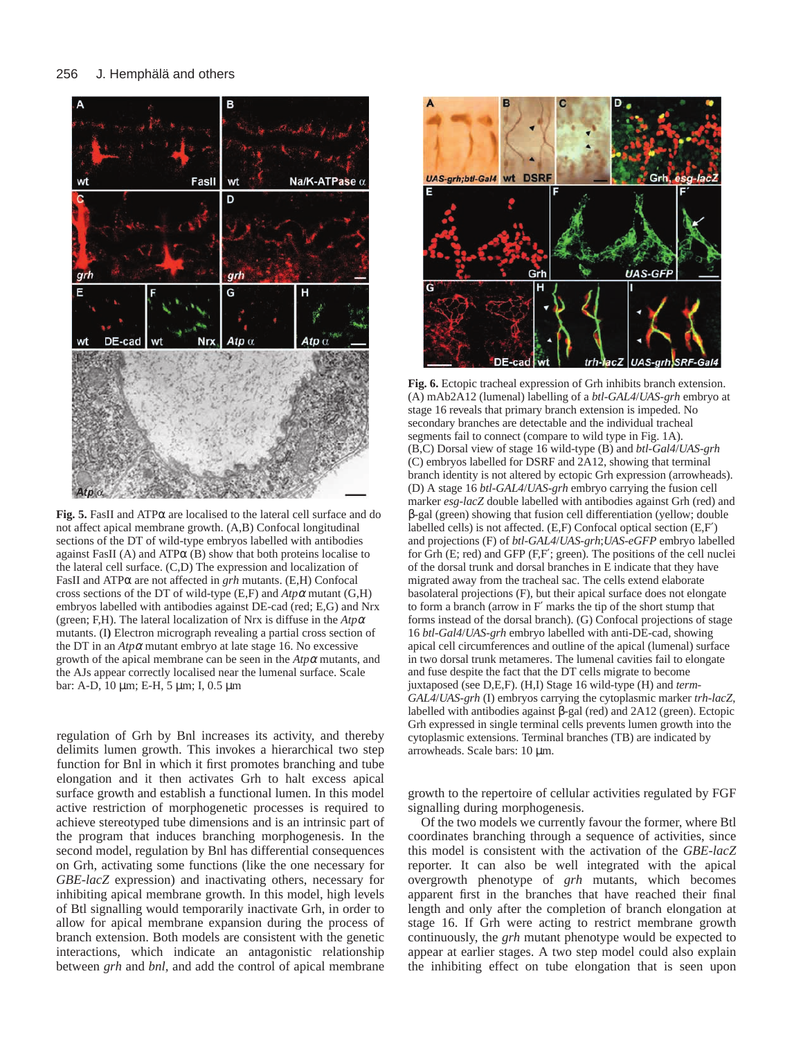

**Fig. 5.** FasII and ATPα are localised to the lateral cell surface and do not affect apical membrane growth. (A,B) Confocal longitudinal sections of the DT of wild-type embryos labelled with antibodies against FasII (A) and ATP $\alpha$  (B) show that both proteins localise to the lateral cell surface. (C,D) The expression and localization of FasII and ATPα are not affected in *grh* mutants. (E,H) Confocal cross sections of the DT of wild-type (E,F) and  $Atp\alpha$  mutant (G,H) embryos labelled with antibodies against DE-cad (red; E,G) and Nrx (green; F,H). The lateral localization of Nrx is diffuse in the *Atp*<sup>α</sup> mutants. (I**)** Electron micrograph revealing a partial cross section of the DT in an  $Atp\alpha$  mutant embryo at late stage 16. No excessive growth of the apical membrane can be seen in the *Atp*<sup>α</sup> mutants, and the AJs appear correctly localised near the lumenal surface. Scale bar: A-D, 10 µm; E-H, 5 µm; I, 0.5 µm

regulation of Grh by Bnl increases its activity, and thereby delimits lumen growth. This invokes a hierarchical two step function for Bnl in which it first promotes branching and tube elongation and it then activates Grh to halt excess apical surface growth and establish a functional lumen. In this model active restriction of morphogenetic processes is required to achieve stereotyped tube dimensions and is an intrinsic part of the program that induces branching morphogenesis. In the second model, regulation by Bnl has differential consequences on Grh, activating some functions (like the one necessary for *GBE-lacZ* expression) and inactivating others, necessary for inhibiting apical membrane growth. In this model, high levels of Btl signalling would temporarily inactivate Grh, in order to allow for apical membrane expansion during the process of branch extension. Both models are consistent with the genetic interactions, which indicate an antagonistic relationship between *grh* and *bnl,* and add the control of apical membrane



**Fig. 6.** Ectopic tracheal expression of Grh inhibits branch extension. (A) mAb2A12 (lumenal) labelling of a *btl-GAL4*/*UAS-grh* embryo at stage 16 reveals that primary branch extension is impeded. No secondary branches are detectable and the individual tracheal segments fail to connect (compare to wild type in Fig. 1A). (B,C) Dorsal view of stage 16 wild-type (B) and *btl-Gal4*/*UAS-grh* (C) embryos labelled for DSRF and 2A12, showing that terminal branch identity is not altered by ectopic Grh expression (arrowheads). (D) A stage 16 *btl-GAL4*/*UAS-grh* embryo carrying the fusion cell marker *esg-lacZ* double labelled with antibodies against Grh (red) and β-gal (green) showing that fusion cell differentiation (yellow; double labelled cells) is not affected. (E,F) Confocal optical section (E,F′) and projections (F) of *btl-GAL4*/*UAS-grh*;*UAS-eGFP* embryo labelled for Grh (E; red) and GFP (F,F′; green). The positions of the cell nuclei of the dorsal trunk and dorsal branches in E indicate that they have migrated away from the tracheal sac. The cells extend elaborate basolateral projections (F), but their apical surface does not elongate to form a branch (arrow in F′ marks the tip of the short stump that forms instead of the dorsal branch). (G) Confocal projections of stage 16 *btl-Gal4*/*UAS-grh* embryo labelled with anti-DE-cad, showing apical cell circumferences and outline of the apical (lumenal) surface in two dorsal trunk metameres. The lumenal cavities fail to elongate and fuse despite the fact that the DT cells migrate to become juxtaposed (see D,E,F). (H,I) Stage 16 wild-type (H) and *term-GAL4*/*UAS-grh* (I) embryos carrying the cytoplasmic marker *trh-lacZ*, labelled with antibodies against β-gal (red) and 2A12 (green). Ectopic Grh expressed in single terminal cells prevents lumen growth into the cytoplasmic extensions. Terminal branches (TB) are indicated by arrowheads. Scale bars: 10 µm.

growth to the repertoire of cellular activities regulated by FGF signalling during morphogenesis.

Of the two models we currently favour the former, where Btl coordinates branching through a sequence of activities, since this model is consistent with the activation of the *GBE-lacZ* reporter. It can also be well integrated with the apical overgrowth phenotype of *grh* mutants, which becomes apparent first in the branches that have reached their final length and only after the completion of branch elongation at stage 16. If Grh were acting to restrict membrane growth continuously, the *grh* mutant phenotype would be expected to appear at earlier stages. A two step model could also explain the inhibiting effect on tube elongation that is seen upon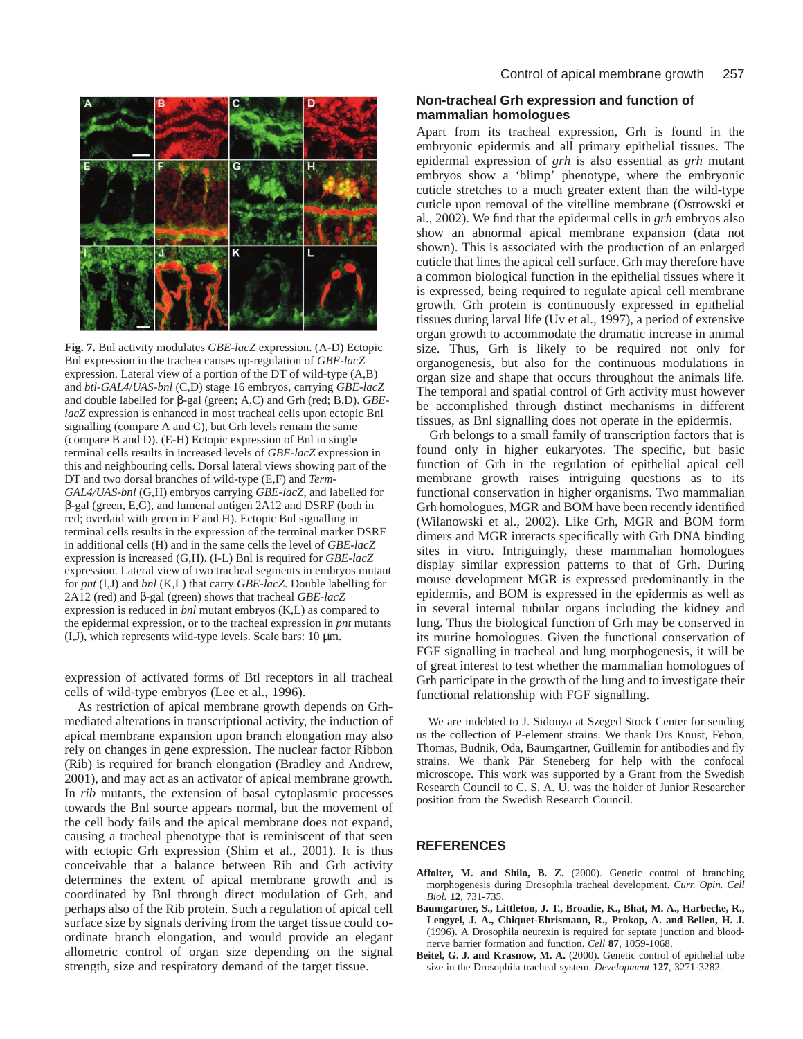

**Fig. 7.** Bnl activity modulates *GBE-lacZ* expression. (A-D) Ectopic Bnl expression in the trachea causes up-regulation of *GBE-lacZ* expression. Lateral view of a portion of the DT of wild-type (A,B) and *btl-GAL4*/*UAS-bnl* (C,D) stage 16 embryos, carrying *GBE-lacZ* and double labelled for β-gal (green; A,C) and Grh (red; B,D). *GBElacZ* expression is enhanced in most tracheal cells upon ectopic Bnl signalling (compare A and C), but Grh levels remain the same (compare B and D). (E-H) Ectopic expression of Bnl in single terminal cells results in increased levels of *GBE-lacZ* expression in this and neighbouring cells. Dorsal lateral views showing part of the DT and two dorsal branches of wild-type (E,F) and *Term-GAL4/UAS-bnl* (G,H) embryos carrying *GBE-lacZ*, and labelled for β-gal (green, E,G), and lumenal antigen 2A12 and DSRF (both in red; overlaid with green in F and H). Ectopic Bnl signalling in terminal cells results in the expression of the terminal marker DSRF in additional cells (H) and in the same cells the level of *GBE-lacZ* expression is increased (G,H). (I-L) Bnl is required for *GBE-lacZ* expression. Lateral view of two tracheal segments in embryos mutant for *pnt* (I,J) and *bnl* (K,L) that carry *GBE-lacZ*. Double labelling for 2A12 (red) and β-gal (green) shows that tracheal *GBE-lacZ* expression is reduced in *bnl* mutant embryos (K,L) as compared to the epidermal expression, or to the tracheal expression in *pnt* mutants  $(I,J)$ , which represents wild-type levels. Scale bars: 10  $\mu$ m.

expression of activated forms of Btl receptors in all tracheal cells of wild-type embryos (Lee et al., 1996).

As restriction of apical membrane growth depends on Grhmediated alterations in transcriptional activity, the induction of apical membrane expansion upon branch elongation may also rely on changes in gene expression. The nuclear factor Ribbon (Rib) is required for branch elongation (Bradley and Andrew, 2001), and may act as an activator of apical membrane growth. In *rib* mutants, the extension of basal cytoplasmic processes towards the Bnl source appears normal, but the movement of the cell body fails and the apical membrane does not expand, causing a tracheal phenotype that is reminiscent of that seen with ectopic Grh expression (Shim et al., 2001). It is thus conceivable that a balance between Rib and Grh activity determines the extent of apical membrane growth and is coordinated by Bnl through direct modulation of Grh, and perhaps also of the Rib protein. Such a regulation of apical cell surface size by signals deriving from the target tissue could coordinate branch elongation, and would provide an elegant allometric control of organ size depending on the signal strength, size and respiratory demand of the target tissue.

### **Non-tracheal Grh expression and function of mammalian homologues**

Apart from its tracheal expression, Grh is found in the embryonic epidermis and all primary epithelial tissues. The epidermal expression of *grh* is also essential as *grh* mutant embryos show a 'blimp' phenotype, where the embryonic cuticle stretches to a much greater extent than the wild-type cuticle upon removal of the vitelline membrane (Ostrowski et al., 2002). We find that the epidermal cells in *grh* embryos also show an abnormal apical membrane expansion (data not shown). This is associated with the production of an enlarged cuticle that lines the apical cell surface. Grh may therefore have a common biological function in the epithelial tissues where it is expressed, being required to regulate apical cell membrane growth. Grh protein is continuously expressed in epithelial tissues during larval life (Uv et al., 1997), a period of extensive organ growth to accommodate the dramatic increase in animal size. Thus, Grh is likely to be required not only for organogenesis, but also for the continuous modulations in organ size and shape that occurs throughout the animals life. The temporal and spatial control of Grh activity must however be accomplished through distinct mechanisms in different tissues, as Bnl signalling does not operate in the epidermis.

Grh belongs to a small family of transcription factors that is found only in higher eukaryotes. The specific, but basic function of Grh in the regulation of epithelial apical cell membrane growth raises intriguing questions as to its functional conservation in higher organisms. Two mammalian Grh homologues, MGR and BOM have been recently identified (Wilanowski et al., 2002). Like Grh, MGR and BOM form dimers and MGR interacts specifically with Grh DNA binding sites in vitro. Intriguingly, these mammalian homologues display similar expression patterns to that of Grh. During mouse development MGR is expressed predominantly in the epidermis, and BOM is expressed in the epidermis as well as in several internal tubular organs including the kidney and lung. Thus the biological function of Grh may be conserved in its murine homologues. Given the functional conservation of FGF signalling in tracheal and lung morphogenesis, it will be of great interest to test whether the mammalian homologues of Grh participate in the growth of the lung and to investigate their functional relationship with FGF signalling.

We are indebted to J. Sidonya at Szeged Stock Center for sending us the collection of P-element strains. We thank Drs Knust, Fehon, Thomas, Budnik, Oda, Baumgartner, Guillemin for antibodies and fly strains. We thank Pär Steneberg for help with the confocal microscope. This work was supported by a Grant from the Swedish Research Council to C. S. A. U. was the holder of Junior Researcher position from the Swedish Research Council.

# **REFERENCES**

- **Affolter, M. and Shilo, B. Z.** (2000). Genetic control of branching morphogenesis during Drosophila tracheal development. *Curr. Opin. Cell Biol.* **12**, 731-735.
- **Baumgartner, S., Littleton, J. T., Broadie, K., Bhat, M. A., Harbecke, R., Lengyel, J. A., Chiquet-Ehrismann, R., Prokop, A. and Bellen, H. J.** (1996). A Drosophila neurexin is required for septate junction and bloodnerve barrier formation and function. *Cell* **87**, 1059-1068.
- **Beitel, G. J. and Krasnow, M. A.** (2000). Genetic control of epithelial tube size in the Drosophila tracheal system. *Development* **127**, 3271-3282.